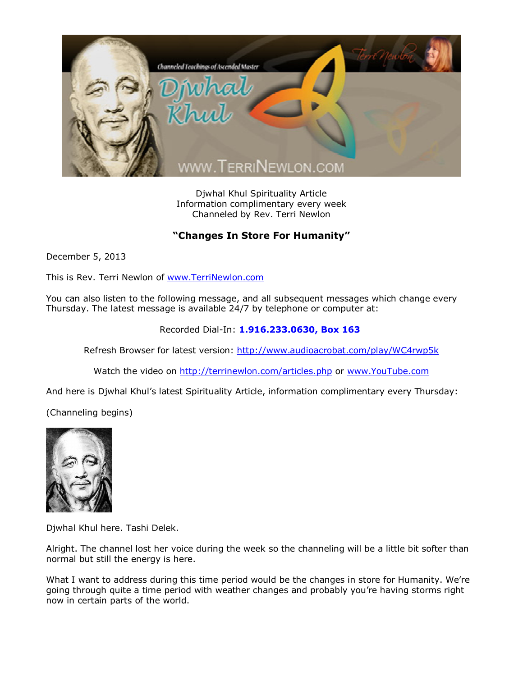

Djwhal Khul Spirituality Article Information complimentary every week Channeled by Rev. Terri Newlon

## **"Changes In Store For Humanity"**

December 5, 2013

This is Rev. Terri Newlon of [www.TerriNewlon.com](http://www.terrinewlon.com/)

You can also listen to the following message, and all subsequent messages which change every Thursday. The latest message is available 24/7 by telephone or computer at:

Recorded Dial-In: **1.916.233.0630, Box 163**

Refresh Browser for latest version: <http://www.audioacrobat.com/play/WC4rwp5k>

Watch the video on <http://terrinewlon.com/articles.php> or [www.YouTube.com](http://www.youtube.com/)

And here is Djwhal Khul's latest Spirituality Article, information complimentary every Thursday:

(Channeling begins)



Djwhal Khul here. Tashi Delek.

Alright. The channel lost her voice during the week so the channeling will be a little bit softer than normal but still the energy is here.

What I want to address during this time period would be the changes in store for Humanity. We're going through quite a time period with weather changes and probably you're having storms right now in certain parts of the world.